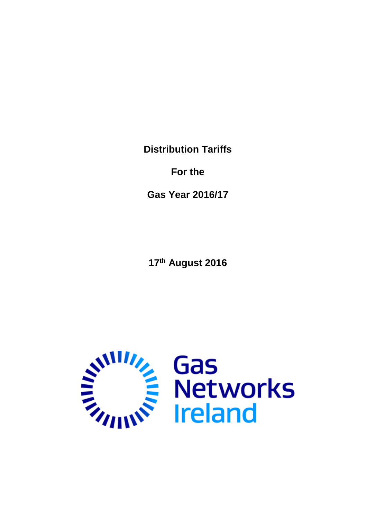**Distribution Tariffs**

**For the**

**Gas Year 2016/17**

**17 th August 2016**

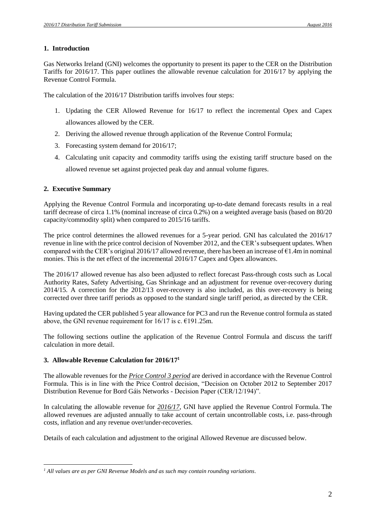## **1. Introduction**

Gas Networks Ireland (GNI) welcomes the opportunity to present its paper to the CER on the Distribution Tariffs for 2016/17. This paper outlines the allowable revenue calculation for 2016/17 by applying the Revenue Control Formula.

The calculation of the 2016/17 Distribution tariffs involves four steps:

- 1. Updating the CER Allowed Revenue for 16/17 to reflect the incremental Opex and Capex allowances allowed by the CER.
- 2. Deriving the allowed revenue through application of the Revenue Control Formula;
- 3. Forecasting system demand for 2016/17;
- 4. Calculating unit capacity and commodity tariffs using the existing tariff structure based on the allowed revenue set against projected peak day and annual volume figures.

## **2. Executive Summary**

Applying the Revenue Control Formula and incorporating up-to-date demand forecasts results in a real tariff decrease of circa 1.1% (nominal increase of circa 0.2%) on a weighted average basis (based on 80/20 capacity/commodity split) when compared to 2015/16 tariffs.

The price control determines the allowed revenues for a 5-year period. GNI has calculated the 2016/17 revenue in line with the price control decision of November 2012, and the CER's subsequent updates. When compared with the CER's original 2016/17 allowed revenue, there has been an increase of  $\epsilon$ 1.4m in nominal monies. This is the net effect of the incremental 2016/17 Capex and Opex allowances.

The 2016/17 allowed revenue has also been adjusted to reflect forecast Pass-through costs such as Local Authority Rates, Safety Advertising, Gas Shrinkage and an adjustment for revenue over-recovery during 2014/15. A correction for the 2012/13 over-recovery is also included, as this over-recovery is being corrected over three tariff periods as opposed to the standard single tariff period, as directed by the CER.

Having updated the CER published 5 year allowance for PC3 and run the Revenue control formula as stated above, the GNI revenue requirement for  $16/17$  is c.  $€191.25$ m.

The following sections outline the application of the Revenue Control Formula and discuss the tariff calculation in more detail.

## **3. Allowable Revenue Calculation for 2016/17 1**

The allowable revenues for the *Price Control 3 period* are derived in accordance with the Revenue Control Formula. This is in line with the Price Control decision, "Decision on October 2012 to September 2017 Distribution Revenue for Bord Gáis Networks - Decision Paper (CER/12/194)".

In calculating the allowable revenue for *2016/17*, GNI have applied the Revenue Control Formula. The allowed revenues are adjusted annually to take account of certain uncontrollable costs, i.e. pass-through costs, inflation and any revenue over/under-recoveries.

Details of each calculation and adjustment to the original Allowed Revenue are discussed below.

 $\overline{a}$ *<sup>1</sup> All values are as per GNI Revenue Models and as such may contain rounding variations.*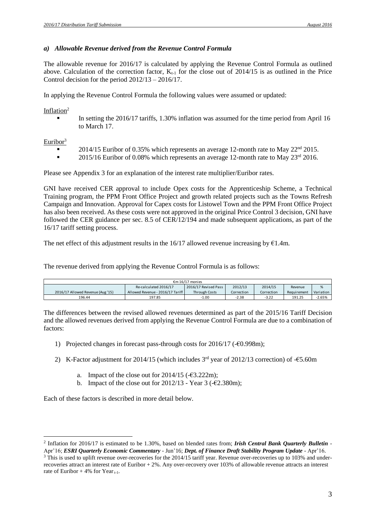#### *a) Allowable Revenue derived from the Revenue Control Formula*

The allowable revenue for 2016/17 is calculated by applying the Revenue Control Formula as outlined above. Calculation of the correction factor,  $K_{t-1}$  for the close out of 2014/15 is as outlined in the Price Control decision for the period 2012/13 – 2016/17.

In applying the Revenue Control Formula the following values were assumed or updated:

#### Inflation<sup>2</sup>

 In setting the 2016/17 tariffs, 1.30% inflation was assumed for the time period from April 16 to March 17.

Euribor $3$ 

- 2014/15 Euribor of 0.35% which represents an average 12-month rate to May 22nd 2015.
- $\blacksquare$  2015/16 Euribor of 0.08% which represents an average 12-month rate to May 23<sup>rd</sup> 2016.

Please see Appendix 3 for an explanation of the interest rate multiplier/Euribor rates.

GNI have received CER approval to include Opex costs for the Apprenticeship Scheme, a Technical Training program, the PPM Front Office Project and growth related projects such as the Towns Refresh Campaign and Innovation. Approval for Capex costs for Listowel Town and the PPM Front Office Project has also been received. As these costs were not approved in the original Price Control 3 decision, GNI have followed the CER guidance per sec. 8.5 of CER/12/194 and made subsequent applications, as part of the 16/17 tariff setting process.

The net effect of this adjustment results in the  $16/17$  allowed revenue increasing by  $\epsilon$ 1.4m.

The revenue derived from applying the Revenue Control Formula is as follows:

| €m 16/17 monies                   |                                  |                      |            |            |             |           |
|-----------------------------------|----------------------------------|----------------------|------------|------------|-------------|-----------|
|                                   | Re-calculated 2016/17            | 2016/17 Revised Pass | 2012/13    | 2014/15    | Revenue     | %         |
| 2016/17 Allowed Revenue (Aug '15) | Allowed Revenue - 2016/17 Tariff | <b>Through Costs</b> | Correction | Correction | Requirement | Variation |
| 196.44                            | 197.85                           | 1.00                 | -2.38      | $-3.22$    | 191.25      | $-2.65%$  |

The differences between the revised allowed revenues determined as part of the 2015/16 Tariff Decision and the allowed revenues derived from applying the Revenue Control Formula are due to a combination of factors:

- 1) Projected changes in forecast pass-through costs for 2016/17 (-€0.998m);
- 2) K-Factor adjustment for 2014/15 (which includes  $3<sup>rd</sup>$  year of 2012/13 correction) of -€5.60m
	- a. Impact of the close out for  $2014/15$  (- $\epsilon$ 3.222m);
	- b. Impact of the close out for  $2012/13$  Year 3 (- $\epsilon$ 2.380m);

Each of these factors is described in more detail below.

 $\overline{a}$ 2 Inflation for 2016/17 is estimated to be 1.30%, based on blended rates from; *Irish Central Bank Quarterly Bulletin* - Apr'16; *ESRI Quarterly Economic Commentary* - Jun'16; *Dept. of Finance Draft Stability Program Update* - Apr'16.

<sup>&</sup>lt;sup>3</sup> This is used to uplift revenue over-recoveries for the 2014/15 tariff year. Revenue over-recoveries up to 103% and underrecoveries attract an interest rate of Euribor + 2%. Any over-recovery over 103% of allowable revenue attracts an interest rate of Euribor  $+ 4\%$  for Year<sub>t-1</sub>.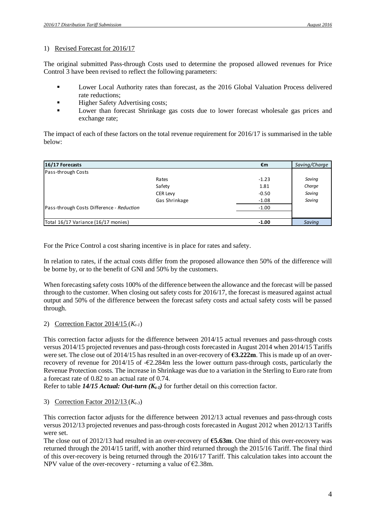## 1) Revised Forecast for 2016/17

The original submitted Pass-through Costs used to determine the proposed allowed revenues for Price Control 3 have been revised to reflect the following parameters:

- **EXECUTE:** Lower Local Authority rates than forecast, as the 2016 Global Valuation Process delivered rate reductions;
- **Higher Safety Advertising costs;**
- **EXECUTE:** Lower than forecast Shrinkage gas costs due to lower forecast wholesale gas prices and exchange rate;

The impact of each of these factors on the total revenue requirement for 2016/17 is summarised in the table below:

| below:                                    |                 |         |               |
|-------------------------------------------|-----------------|---------|---------------|
| 16/17 Forecasts                           |                 | €m      | Saving/Charge |
| Pass-through Costs                        |                 |         |               |
|                                           | Rates           | $-1.23$ | Saving        |
|                                           | Safety          | 1.81    | Charge        |
|                                           | <b>CER Levy</b> | $-0.50$ | Saving        |
|                                           | Gas Shrinkage   | $-1.08$ | Saving        |
| Pass-through Costs Difference - Reduction |                 | $-1.00$ |               |
|                                           |                 |         |               |
| Total 16/17 Variance (16/17 monies)       |                 | $-1.00$ | Saving        |

For the Price Control a cost sharing incentive is in place for rates and safety.

In relation to rates, if the actual costs differ from the proposed allowance then 50% of the difference will be borne by, or to the benefit of GNI and 50% by the customers.

When forecasting safety costs 100% of the difference between the allowance and the forecast will be passed through to the customer. When closing out safety costs for 2016/17, the forecast is measured against actual output and 50% of the difference between the forecast safety costs and actual safety costs will be passed through.

## 2) Correction Factor 2014/15 (*Kt-1*)

This correction factor adjusts for the difference between 2014/15 actual revenues and pass-through costs versus 2014/15 projected revenues and pass-through costs forecasted in August 2014 when 2014/15 Tariffs were set. The close out of 2014/15 has resulted in an over-recovery of **€3.222m**. This is made up of an overrecovery of revenue for 2014/15 of  $-\epsilon$ 2.284m less the lower outturn pass-through costs, particularly the Revenue Protection costs. The increase in Shrinkage was due to a variation in the Sterling to Euro rate from a forecast rate of 0.82 to an actual rate of 0.74.

Refer to table *14/15 Actual: Out-turn (Kt-1)* for further detail on this correction factor.

## 3) Correction Factor 2012/13 (*Kt-3*)

This correction factor adjusts for the difference between 2012/13 actual revenues and pass-through costs versus 2012/13 projected revenues and pass-through costs forecasted in August 2012 when 2012/13 Tariffs were set.

The close out of 2012/13 had resulted in an over-recovery of **€5.63m**. One third of this over-recovery was returned through the 2014/15 tariff, with another third returned through the 2015/16 Tariff. The final third of this over-recovery is being returned through the 2016/17 Tariff. This calculation takes into account the NPV value of the over-recovery - returning a value of  $\epsilon$ 2.38m.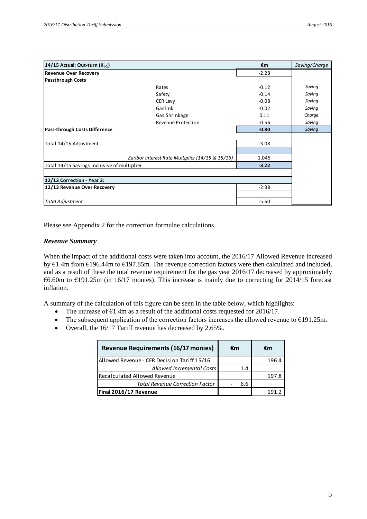| 14/15 Actual: Out-turn $(K_{t-1})$          |                                                  | €m      | Saving/Charge |
|---------------------------------------------|--------------------------------------------------|---------|---------------|
| <b>Revenue Over Recovery</b>                |                                                  | $-2.28$ |               |
| <b>Passthrough Costs</b>                    |                                                  |         |               |
|                                             | Rates                                            | $-0.12$ | Saving        |
|                                             | Safety                                           | $-0.14$ | Saving        |
|                                             | <b>CER Levy</b>                                  | $-0.08$ | Saving        |
|                                             | Gaslink                                          | $-0.02$ | Saving        |
|                                             | Gas Shrinkage                                    | 0.11    | Charge        |
|                                             | Revenue Protection                               | $-0.56$ | Saving        |
| Pass-through Costs Difference               |                                                  | $-0.80$ | Saving        |
|                                             |                                                  |         |               |
| Total 14/15 Adjustment                      |                                                  | $-3.08$ |               |
|                                             |                                                  |         |               |
|                                             | Euribor Interest Rate Multiplier (14/15 & 15/16) | 1.045   |               |
| Total 14/15 Savings inclusive of multiplier |                                                  | $-3.22$ |               |
|                                             |                                                  |         |               |
| 12/13 Correction - Year 3:                  |                                                  |         |               |
| 12/13 Revenue Over Recovery                 |                                                  | $-2.38$ |               |
|                                             |                                                  |         |               |
| <b>Total Adjustment</b>                     |                                                  | $-5.60$ |               |

Please see Appendix 2 for the correction formulae calculations.

#### *Revenue Summary*

When the impact of the additional costs were taken into account, the 2016/17 Allowed Revenue increased by €1.4m from €196.44m to €197.85m. The revenue correction factors were then calculated and included, and as a result of these the total revenue requirement for the gas year 2016/17 decreased by approximately €6.60m to €191.25m (in 16/17 monies). This increase is mainly due to correcting for 2014/15 forecast inflation.

A summary of the calculation of this figure can be seen in the table below, which highlights:

- The increase of  $\epsilon$ 1.4m as a result of the additional costs requested for 2016/17.
- The subsequent application of the correction factors increases the allowed revenue to  $E191.25m$ .
- Overall, the 16/17 Tariff revenue has decreased by 2.65%.

| <b>Revenue Requirements (16/17 monies)</b>   | €m  | €m   |
|----------------------------------------------|-----|------|
| Allowed Revenue - CER Decision Tariff 15/16. |     | 1964 |
| Allowed Incremental Costs                    | 1.4 |      |
| Recalculated Allowed Revenue                 |     | 1978 |
| <b>Total Revenue Correction Factor</b>       | 6.6 |      |
| Final 2016/17 Revenue                        |     |      |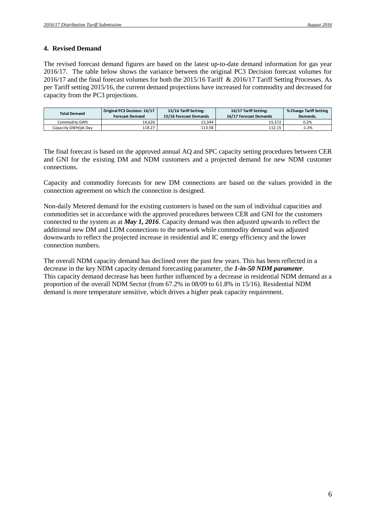## **4. Revised Demand**

The revised forecast demand figures are based on the latest up-to-date demand information for gas year 2016/17. The table below shows the variance between the original PC3 Decision forecast volumes for 2016/17 and the final forecast volumes for both the 2015/16 Tariff & 2016/17 Tariff Setting Processes. As per Tariff setting 2015/16, the current demand projections have increased for commodity and decreased for capacity from the PC3 projections.

| <b>Total Demand</b> | Original PC3 Decision: 16/17<br><b>Forecast Demand</b> | 15/16 Tariff Setting:<br>15/16 Forecast Demands | 16/17 Tariff Setting:<br>16/17 Forecast Demands | % Change Tariff Setting<br>Demands. |
|---------------------|--------------------------------------------------------|-------------------------------------------------|-------------------------------------------------|-------------------------------------|
| Commodity GWh       | 14.626                                                 | 15.344                                          | 15.372                                          | 0.2%                                |
| Capacity GWH/pk Day | 118.27                                                 | 113.58                                          | 112.15                                          | $-1.3%$                             |

The final forecast is based on the approved annual AQ and SPC capacity setting procedures between CER and GNI for the existing DM and NDM customers and a projected demand for new NDM customer connections.

Capacity and commodity forecasts for new DM connections are based on the values provided in the connection agreement on which the connection is designed.

Non-daily Metered demand for the existing customers is based on the sum of individual capacities and commodities set in accordance with the approved procedures between CER and GNI for the customers connected to the system as at *May 1, 2016*. Capacity demand was then adjusted upwards to reflect the additional new DM and LDM connections to the network while commodity demand was adjusted downwards to reflect the projected increase in residential and IC energy efficiency and the lower connection numbers.

The overall NDM capacity demand has declined over the past few years. This has been reflected in a decrease in the key NDM capacity demand forecasting parameter, the *1-in-50 NDM parameter.* This capacity demand decrease has been further influenced by a decrease in residential NDM demand as a proportion of the overall NDM Sector (from 67.2% in 08/09 to 61.8% in 15/16). Residential NDM demand is more temperature sensitive, which drives a higher peak capacity requirement.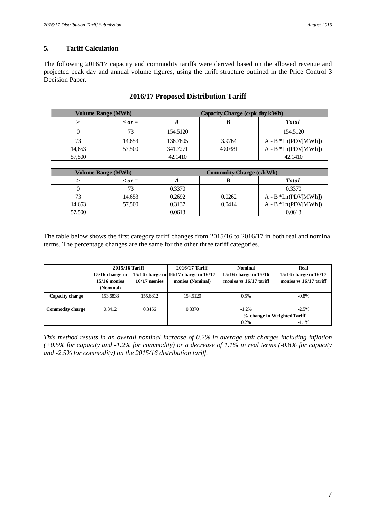## **5. Tariff Calculation**

The following 2016/17 capacity and commodity tariffs were derived based on the allowed revenue and projected peak day and annual volume figures, using the tariff structure outlined in the Price Control 3 Decision Paper.

| Volume Range (MWh) |                  | Capacity Charge (c/pk day kWh) |         |                        |
|--------------------|------------------|--------------------------------|---------|------------------------|
|                    | $\langle$ or $=$ |                                |         | <b>Total</b>           |
|                    | 73               | 154.5120                       |         | 154.5120               |
| 73                 | 14,653           | 136.7805                       | 3.9764  | $A - B * Ln(PDV[MWh])$ |
| 14,653             | 57,500           | 341.7271                       | 49.0381 | $A - B * Ln(PDV[MWh])$ |
| 57,500             |                  | 42.1410                        |         | 42.1410                |

## **2016/17 Proposed Distribution Tariff**

| Volume Range (MWh) |                  | <b>Commodity Charge (c/kWh)</b> |        |                        |
|--------------------|------------------|---------------------------------|--------|------------------------|
|                    | $\langle$ or $=$ |                                 |        | <b>Total</b>           |
|                    | 73               | 0.3370                          |        | 0.3370                 |
| 73                 | 14,653           | 0.2692                          | 0.0262 | $A - B * Ln(PDV[MWh])$ |
| 14,653             | 57.500           | 0.3137                          | 0.0414 | $A - B * Ln(PDV[MWh])$ |
| 57,500             |                  | 0.0613                          |        | 0.0613                 |

The table below shows the first category tariff changes from 2015/16 to 2016/17 in both real and nominal terms. The percentage changes are the same for the other three tariff categories.

|                         | 2015/16 Tariff<br>15/16 charge in<br>$15/16$ monies<br>(Nominal) | $16/17$ monies | 2016/17 Tariff<br>15/16 charge in $16/17$ charge in $16/17$<br>monies (Nominal) | <b>Nominal</b><br>15/16 charge in 15/16<br>monies $\overline{3}$ s 16/17 tariff | Real<br>15/16 charge in 16/17<br>monies $\overline{3}$ s 16/17 tariff |
|-------------------------|------------------------------------------------------------------|----------------|---------------------------------------------------------------------------------|---------------------------------------------------------------------------------|-----------------------------------------------------------------------|
| Capacity charge         | 153.6833                                                         | 155.6812       | 154.5120                                                                        | 0.5%                                                                            | $-0.8%$                                                               |
|                         |                                                                  |                |                                                                                 |                                                                                 |                                                                       |
| <b>Commodity charge</b> | 0.3412                                                           | 0.3456         | 0.3370                                                                          | $-1.2%$                                                                         | $-2.5%$                                                               |
|                         |                                                                  |                |                                                                                 | % change in Weighted Tariff                                                     |                                                                       |
|                         |                                                                  |                |                                                                                 | 0.2%                                                                            | $-1.1%$                                                               |

*This method results in an overall nominal increase of 0.2% in average unit charges including inflation (+0.5% for capacity and -1.2% for commodity) or a decrease of 1.1% in real terms (-0.8% for capacity and -2.5% for commodity) on the 2015/16 distribution tariff.*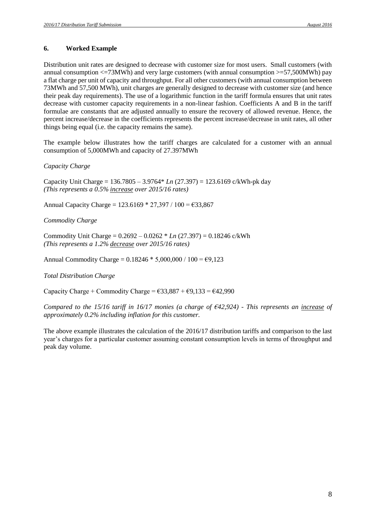#### **6. Worked Example**

Distribution unit rates are designed to decrease with customer size for most users. Small customers (with annual consumption  $\leq$  73MWh) and very large customers (with annual consumption  $\geq$  57,500MWh) pay a flat charge per unit of capacity and throughput. For all other customers (with annual consumption between 73MWh and 57,500 MWh), unit charges are generally designed to decrease with customer size (and hence their peak day requirements). The use of a logarithmic function in the tariff formula ensures that unit rates decrease with customer capacity requirements in a non-linear fashion. Coefficients A and B in the tariff formulae are constants that are adjusted annually to ensure the recovery of allowed revenue. Hence, the percent increase/decrease in the coefficients represents the percent increase/decrease in unit rates, all other things being equal (i.e. the capacity remains the same).

The example below illustrates how the tariff charges are calculated for a customer with an annual consumption of 5,000MWh and capacity of 27.397MWh

#### *Capacity Charge*

Capacity Unit Charge = 136.7805 – 3.9764\* *Ln* (27.397) = 123.6169 c/kWh-pk day *(This represents a 0.5% increase over 2015/16 rates)*

Annual Capacity Charge =  $123.6169 * 27,397 / 100 = \text{\textsterling}33,867$ 

#### *Commodity Charge*

Commodity Unit Charge = 0.2692 – 0.0262 \* *Ln* (27.397) = 0.18246 c/kWh *(This represents a 1.2% decrease over 2015/16 rates)*

Annual Commodity Charge =  $0.18246 * 5,000,000 / 100 = \text{\textsterling}9,123$ 

#### *Total Distribution Charge*

Capacity Charge + Commodity Charge =  $\epsilon$ 33,887 +  $\epsilon$ 9,133 =  $\epsilon$ 42,990

*Compared to the 15/16 tariff in 16/17 monies (a charge of €42,924) - This represents an increase of approximately 0.2% including inflation for this customer.*

The above example illustrates the calculation of the 2016/17 distribution tariffs and comparison to the last year's charges for a particular customer assuming constant consumption levels in terms of throughput and peak day volume.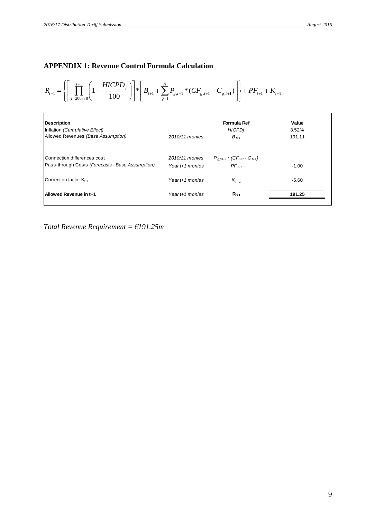**APPENDIX 1: Revenue Control Formula Calculation**  

$$
R_{t+1} = \left\{ \left[ \prod_{j=2007/8}^{t+1} \left( 1 + \frac{HICPD_j}{100} \right) \right] * \left[ B_{t+1} + \sum_{g=1}^{N} P_{g,t+1} * (CF_{g,t+1} - C_{g,t+1}) \right] \right\} + PF_{t+1} + K_{t-1}
$$

| <b>Description</b><br>Inflation (Cumulative Effect) |                   | Formula Ref<br><b>HICPDi</b>                            | Value<br>3.52% |
|-----------------------------------------------------|-------------------|---------------------------------------------------------|----------------|
| Allowed Revenues (Base Assumption)                  | 2010/11 monies    | $B_{t+1}$                                               | 191.11         |
| Connection differences cost                         | 2010/11 monies    | $P_{g, Ct+1}$ * (CF <sub>t+1</sub> - C <sub>t+1</sub> ) |                |
| Pass-through Costs (Forecasts - Base Assumption)    | Year $t+1$ monies | $PF_{t+1}$                                              | $-1.00$        |
| Correction factor K <sub>t-1</sub>                  | Year t+1 monies   | $K_{t-1}$                                               | $-5.60$        |
| Allowed Revenue in t+1                              | Year $t+1$ monies | $R_{t+1}$                                               | 191.25         |

*Total Revenue Requirement = €191.25m*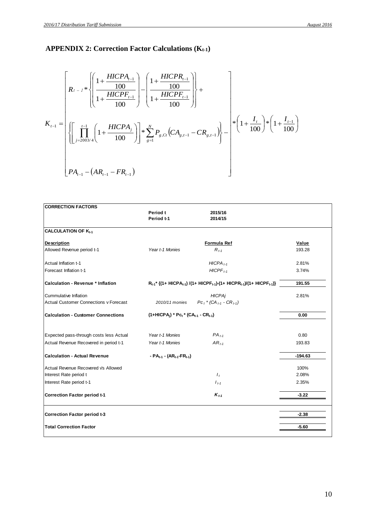# **APPENDIX 2: Correction Factor Calculations (Kt-1)**

$$
K_{t-1} = \left[ \left\{ \prod_{j=2003/4}^{t-1} \left( 1 + \frac{HICPA_{t-1}}{100} \right) - \left( \frac{1 + \frac{HICPR_{t-1}}{100}}{1 + \frac{HICPF_{t-1}}{100}} \right) \right\} + \left\{ \prod_{j=2003/4}^{t-1} \left( 1 + \frac{HICPA_j}{100} \right) \right\} \right] \times \sum_{g=1}^{N} P_{g,Ct} \left( CA_{g,t-1} - CR_{g,t-1} \right) \right\} - \left[ \left\{ \left( 1 + \frac{I_t}{100} \right) \right\} \times \left( 1 + \frac{I_{t-1}}{100} \right) \right]
$$
\n
$$
PA_{t-1} - \left( AR_{t-1} - FR_{t-1} \right)
$$

| <b>CORRECTION FACTORS</b>                     |                                                        |                                                                                                                                       |           |
|-----------------------------------------------|--------------------------------------------------------|---------------------------------------------------------------------------------------------------------------------------------------|-----------|
|                                               | Period t<br>Period t-1                                 | 2015/16<br>2014/15                                                                                                                    |           |
| <b>CALCULATION OF K</b> <sub>t-1</sub>        |                                                        |                                                                                                                                       |           |
|                                               |                                                        |                                                                                                                                       |           |
| <b>Description</b>                            |                                                        | <b>Formula Ref</b>                                                                                                                    | Value     |
| Allowed Revenue period t-1                    | Year t-1 Monies                                        | $R_{t-1}$                                                                                                                             | 193.28    |
| Actual Inflation t-1                          |                                                        | $HICPA_{t-1}$                                                                                                                         | 2.81%     |
| Forecast Inflation t-1                        |                                                        | $HICPF_{t-1}$                                                                                                                         | 3.74%     |
| Calculation - Revenue * Inflation             |                                                        | $R_{t-1}$ <sup>*</sup> {(1+ HICPA <sub>t-1</sub> ) /(1+ HICPF <sub>t-1</sub> )-(1+ HICPR <sub>t-1</sub> )/(1+ HICPF <sub>t-1</sub> )} | 191.55    |
| Cummulative Inflation                         |                                                        | <b>HICPAj</b>                                                                                                                         | 2.81%     |
| <b>Actual Customer Connections v Forecast</b> | 2010/11 monies                                         | $P C_t$ * (CA $_{t-1}$ - CR $_{t-1}$ )                                                                                                |           |
| <b>Calculation - Customer Connections</b>     | $(1+HICPA_i) * PC_t * (CA_{t-1} - CR_{t-1})$           |                                                                                                                                       | 0.00      |
| Expected pass-through costs less Actual       | Year t-1 Monies                                        | $PA_{t-1}$                                                                                                                            | 0.80      |
| Actual Revenue Recovered in period t-1        | Year t-1 Monies                                        | $AR_{t-1}$                                                                                                                            | 193.83    |
| <b>Calculation - Actual Revenue</b>           | - $PA_{t-1}$ - (AR <sub>t-1</sub> -FR <sub>t-1</sub> ) |                                                                                                                                       | $-194.63$ |
| Actual Revenue Recovered Vs Allowed           |                                                        |                                                                                                                                       | 100%      |
| Interest Rate period t                        |                                                        | $I_t$                                                                                                                                 | 2.08%     |
| Interest Rate period t-1                      |                                                        | $I_{t-1}$                                                                                                                             | 2.35%     |
| <b>Correction Factor period t-1</b>           |                                                        | $K_{t-1}$                                                                                                                             | $-3.22$   |
| <b>Correction Factor period t-3</b>           |                                                        |                                                                                                                                       | $-2.38$   |
| <b>Total Correction Factor</b>                |                                                        |                                                                                                                                       | $-5.60$   |
|                                               |                                                        |                                                                                                                                       |           |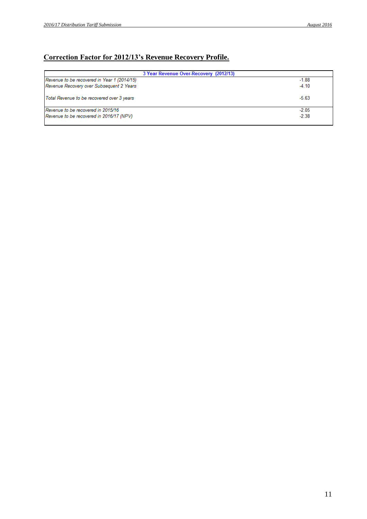## **Correction Factor for 2012/13's Revenue Recovery Profile.**

| 3 Year Revenue Over-Recovery (2012/13)      |         |
|---------------------------------------------|---------|
| Revenue to be recovered in Year 1 (2014/15) | $-1.88$ |
| Revenue Recovery over Subsequent 2 Years    | $-4.10$ |
| Total Revenue to be recovered over 3 years  | $-5.63$ |
| Revenue to be recovered in 2015/16          | $-2.05$ |
| Revenue to be recovered in 2016/17 (NPV)    | $-2.38$ |